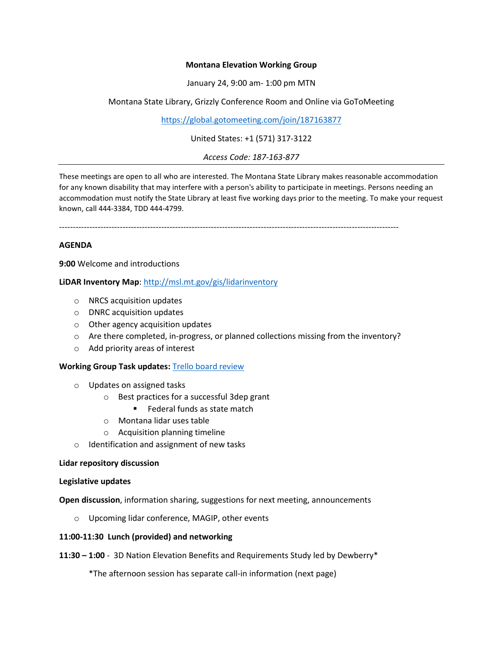# **Montana Elevation Working Group**

January 24, 9:00 am- 1:00 pm MTN

Montana State Library, Grizzly Conference Room and Online via GoToMeeting

<https://global.gotomeeting.com/join/187163877>

United States: +1 (571) 317-3122

*Access Code: 187-163-877*

These meetings are open to all who are interested. The Montana State Library makes reasonable accommodation for any known disability that may interfere with a person's ability to participate in meetings. Persons needing an accommodation must notify the State Library at least five working days prior to the meeting. To make your request known, call 444-3384, TDD 444-4799.

---------------------------------------------------------------------------------------------------------------------------

# **AGENDA**

**9:00** Welcome and introductions

**LiDAR Inventory Map**:<http://msl.mt.gov/gis/lidarinventory>

- o NRCS acquisition updates
- o DNRC acquisition updates
- o Other agency acquisition updates
- o Are there completed, in-progress, or planned collections missing from the inventory?
- o Add priority areas of interest

### **Working Group Task updates:** [Trello board review](https://trello.com/b/kEadGX8F/montana-elevation-working-group)

- o Updates on assigned tasks
	- o Best practices for a successful 3dep grant
		- Federal funds as state match
	- o Montana lidar uses table
	- o Acquisition planning timeline
- o Identification and assignment of new tasks

### **Lidar repository discussion**

### **Legislative updates**

**Open discussion**, information sharing, suggestions for next meeting, announcements

o Upcoming lidar conference, MAGIP, other events

### **11:00-11:30 Lunch (provided) and networking**

**11:30 – 1:00** - 3D Nation Elevation Benefits and Requirements Study led by Dewberry\*

\*The afternoon session has separate call-in information (next page)